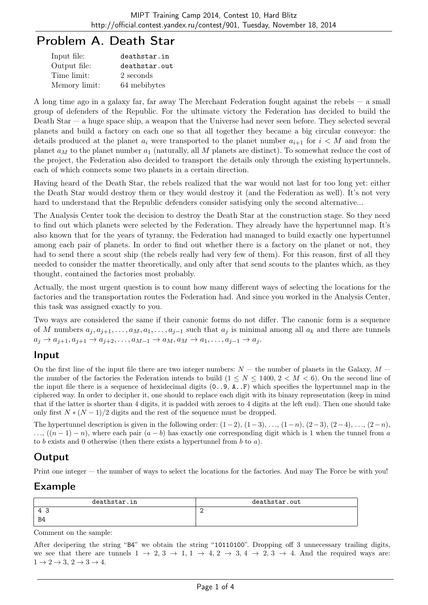# Problem A. Death Star

| Input file:   | deathstar.in  |
|---------------|---------------|
| Output file:  | deathstar.out |
| Time limit:   | 2 seconds     |
| Memory limit: | 64 mebibytes  |

A long time ago in a galaxy far, far away The Merchant Federation fought against the rebels — a small group of defenders of the Republic. For the ultimate victory the Federation has decided to build the Death Star — a huge space ship, a weapon that the Universe had never seen before. They selected several planets and build a factory on each one so that all together they became a big circular conveyor: the details produced at the planet  $a_i$  were transported to the planet number  $a_{i+1}$  for  $i < M$  and from the planet *a<sup>M</sup>* to the planet number *a*<sup>1</sup> (naturally, all *M* planets are distinct). To somewhat reduce the cost of the project, the Federation also decided to transport the details only through the existing hypertunnels, each of which connects some two planets in a certain direction.

Having heard of the Death Star, the rebels realized that the war would not last for too long yet: either the Death Star would destroy them or they would destroy it (and the Federation as well). It's not very hard to understand that the Republic defenders consider satisfying only the second alternative...

The Analysis Center took the decision to destroy the Death Star at the construction stage. So they need to find out which planets were selected by the Federation. They already have the hypertunnel map. It's also known that for the years of tyranny, the Federation had managed to build exactly one hypertunnel among each pair of planets. In order to find out whether there is a factory on the planet or not, they had to send there a scout ship (the rebels really had very few of them). For this reason, first of all they needed to consider the matter theoretically, and only after that send scouts to the plantes which, as they thought, contained the factories most probably.

Actually, the most urgent question is to count how many different ways of selecting the locations for the factories and the transportation routes the Federation had. And since you worked in the Analysis Center, this task was assigned exactly to you.

Two ways are considered the same if their canonic forms do not differ. The canonic form is a sequence of *M* numbers  $a_j, a_{j+1}, \ldots, a_M, a_1, \ldots, a_{j-1}$  such that  $a_j$  is minimal among all  $a_k$  and there are tunnels  $a_j \to a_{j+1}, a_{j+1} \to a_{j+2}, \ldots, a_{M-1} \to a_M, a_M \to a_1, \ldots, a_{j-1} \to a_j.$ 

### Input

On the first line of the input file there are two integer numbers:  $N-$  the number of planets in the Galaxy,  $M$ the number of the factories the Federation intends to build  $(1 \le N \le 1400, 2 < M < 6)$ . On the second line of the input file there is a sequence of hexidecimal digits (0..9, A..F) which specifies the hypertunnel map in the ciphered way. In order to decipher it, one should to replace each digit with its binary representation (keep in mind that if the latter is shorter than 4 digits, it is padded with zeroes to 4 digits at the left end). Then one should take only first  $N*(N-1)/2$  digits and the rest of the sequence must be dropped.

The hypertunnel description is given in the following order:  $(1-2)$ ,  $(1-3)$ ,  $\dots$ ,  $(1-n)$ ,  $(2-3)$ ,  $(2-4)$ ,  $\dots$ ,  $(2-n)$ ,  $\dots$ ,  $((n-1)-n)$ , where each pair  $(a - b)$  has exactly one corresponding digit which is 1 when the tunnel from *a* to *b* exists and 0 otherwise (then there exists a hypertunnel from *b* to *a*).

# **Output**

Print one integer — the number of ways to select the locations for the factories. And may The Force be with you!

## Example

| deathstar.in | deathstar.out |
|--------------|---------------|
| . 4 -        | -<br><u>—</u> |
| B4           |               |

Comment on the sample:

After decipering the string "B4" we obtain the string "10110100". Dropping off 3 unnecessary trailing digits, we see that there are tunnels  $1 \rightarrow 2, 3 \rightarrow 1, 1 \rightarrow 4, 2 \rightarrow 3, 4 \rightarrow 2, 3 \rightarrow 4$ . And the required ways are:  $1 \rightarrow 2 \rightarrow 3$ ,  $2 \rightarrow 3 \rightarrow 4$ .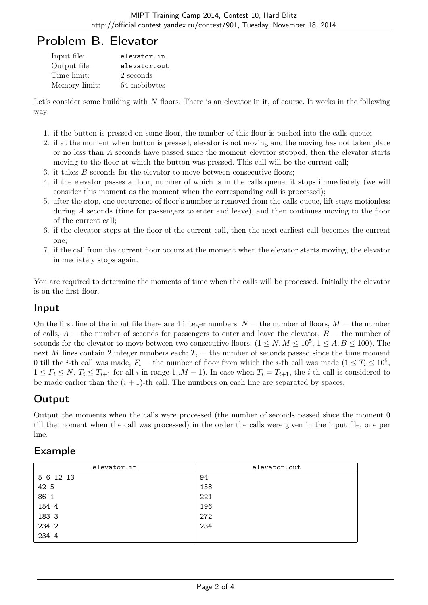# Problem B. Elevator

| Input file:   | elevator.in  |
|---------------|--------------|
| Output file:  | elevator.out |
| Time limit:   | 2 seconds    |
| Memory limit: | 64 mebibytes |

Let's consider some building with N floors. There is an elevator in it, of course. It works in the following way:

- 1. if the button is pressed on some floor, the number of this floor is pushed into the calls queue;
- 2. if at the moment when button is pressed, elevator is not moving and the moving has not taken place or no less than *A* seconds have passed since the moment elevator stopped, then the elevator starts moving to the floor at which the button was pressed. This call will be the current call;
- 3. it takes *B* seconds for the elevator to move between consecutive floors;
- 4. if the elevator passes a floor, number of which is in the calls queue, it stops immediately (we will consider this moment as the moment when the corresponding call is processed);
- 5. after the stop, one occurrence of floor's number is removed from the calls queue, lift stays motionless during *A* seconds (time for passengers to enter and leave), and then continues moving to the floor of the current call;
- 6. if the elevator stops at the floor of the current call, then the next earliest call becomes the current one;
- 7. if the call from the current floor occurs at the moment when the elevator starts moving, the elevator immediately stops again.

You are required to determine the moments of time when the calls will be processed. Initially the elevator is on the first floor.

### Input

On the first line of the input file there are 4 integer numbers:  $N-$  the number of floors,  $M-$  the number of calls,  $A$  — the number of seconds for passengers to enter and leave the elevator,  $B$  — the number of seconds for the elevator to move between two consecutive floors,  $(1 \le N, M \le 10^5, 1 \le A, B \le 100)$ . The next *M* lines contain 2 integer numbers each:  $T_i$  — the number of seconds passed since the time moment 0 till the *i*-th call was made,  $F_i$  — the number of floor from which the *i*-th call was made  $(1 \le T_i \le 10^5$ ,  $1 \leq F_i \leq N$ ,  $T_i \leq T_{i+1}$  for all i in range  $1..M-1$ ). In case when  $T_i = T_{i+1}$ , the *i*-th call is considered to be made earlier than the  $(i + 1)$ -th call. The numbers on each line are separated by spaces.

# Output

Output the moments when the calls were processed (the number of seconds passed since the moment 0 till the moment when the call was processed) in the order the calls were given in the input file, one per line.

### Example

| elevator.in | elevator.out |
|-------------|--------------|
| 5 6 12 13   | 94           |
| 42 5        | 158          |
| 86 1        | 221          |
| 154 4       | 196          |
| 183 3       | 272          |
| 234 2       | 234          |
| 234 4       |              |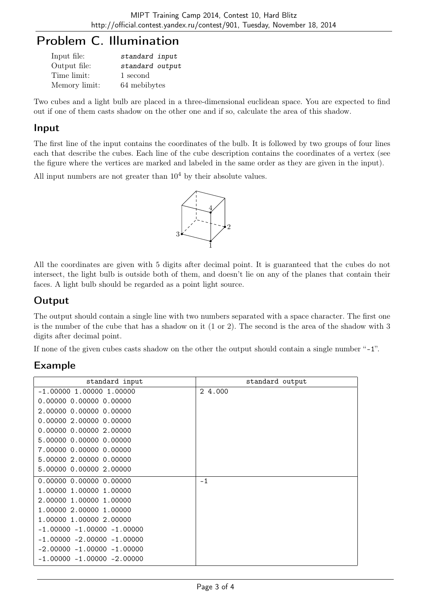# Problem C. Illumination

| Input file:   | standard input  |
|---------------|-----------------|
| Output file:  | standard output |
| Time limit:   | 1 second        |
| Memory limit: | 64 mebibytes    |

Two cubes and a light bulb are placed in a three-dimensional euclidean space. You are expected to find out if one of them casts shadow on the other one and if so, calculate the area of this shadow.

#### Input

The first line of the input contains the coordinates of the bulb. It is followed by two groups of four lines each that describe the cubes. Each line of the cube description contains the coordinates of a vertex (see the figure where the vertices are marked and labeled in the same order as they are given in the input).

All input numbers are not greater than  $10<sup>4</sup>$  by their absolute values.



All the coordinates are given with 5 digits after decimal point. It is guaranteed that the cubes do not intersect, the light bulb is outside both of them, and doesn't lie on any of the planes that contain their faces. A light bulb should be regarded as a point light source.

## Output

The output should contain a single line with two numbers separated with a space character. The first one is the number of the cube that has a shadow on it (1 or 2). The second is the area of the shadow with 3 digits after decimal point.

If none of the given cubes casts shadow on the other the output should contain a single number "-1".

## Example

| standard input                 | standard output |
|--------------------------------|-----------------|
| $-1.00000$ 1.00000 1.00000     | 2 4,000         |
| 0.0000000.0000000000           |                 |
| 2.00000 0.00000 0.00000        |                 |
| 0.00000 2.00000 0.00000        |                 |
| 0.00000 0.00000 2.00000        |                 |
| 5.00000 0.00000 0.00000        |                 |
| 7.00000 0.00000 0.00000        |                 |
| 5.00000 2.00000 0.00000        |                 |
| 5.00000 0.00000 2.00000        |                 |
| 0.00000 0.00000 0.00000        | $-1$            |
| 1.00000 1.00000 1.00000        |                 |
| 2.00000 1.00000 1.00000        |                 |
| 1.00000 2.00000 1.00000        |                 |
| 1.00000 1.00000 2.00000        |                 |
| $-1.00000 - 1.00000 - 1.00000$ |                 |
| $-1.00000 - 2.00000 - 1.00000$ |                 |
| $-2.00000 - 1.00000 - 1.00000$ |                 |
| $-1.00000 - 1.00000 - 2.00000$ |                 |